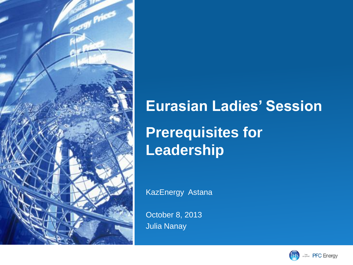

## **Eurasian Ladies' Session Prerequisites for Leadership**

KazEnergy Astana

October 8, 2013 Julia Nanay

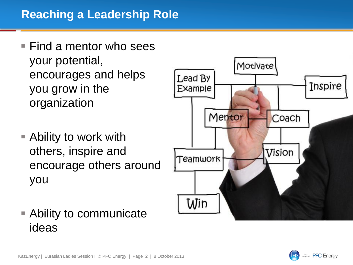- $\blacksquare$  Find a mentor who sees your potential, encourages and helps you grow in the organization
- Ability to work with others, inspire and encourage others around you



 Ability to communicate ideas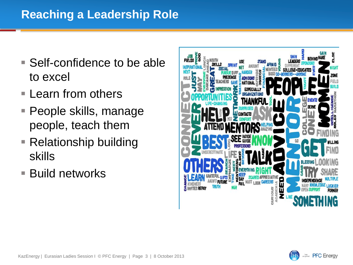## **Reaching a Leadership Role**

- Self-confidence to be able to excel
- **Learn from others**
- People skills, manage people, teach them
- Relationship building skills
- **Build networks**



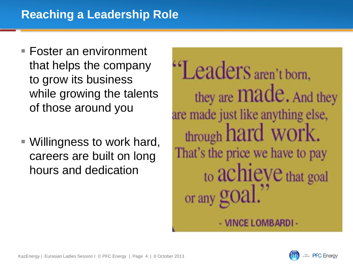- Foster an environment that helps the company to grow its business while growing the talents of those around you
- Willingness to work hard, careers are built on long hours and dedication

"Leaders aren't born. they are **Made**. And they are made just like anything else, through hard work. That's the price we have to pay to achieve that goal or any gOa.

- VINCE LOMBARDI-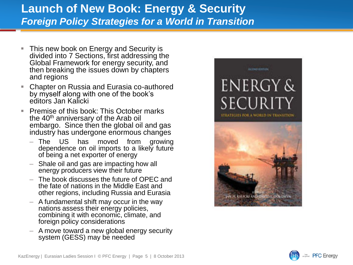## **Launch of New Book: Energy & Security** *Foreign Policy Strategies for a World in Transition*

- This new book on Energy and Security is divided into 7 Sections, first addressing the Global Framework for energy security, and then breaking the issues down by chapters and regions
- Chapter on Russia and Eurasia co-authored by myself along with one of the book's editors Jan Kalicki
- Premise of this book: This October marks the 40<sup>th</sup> anniversary of the Arab oil embargo. Since then the global oil and gas industry has undergone enormous changes
	- The US has moved from growing dependence on oil imports to a likely future of being a net exporter of energy
	- Shale oil and gas are impacting how all energy producers view their future
	- The book discusses the future of OPEC and the fate of nations in the Middle East and other regions, including Russia and Eurasia
	- A fundamental shift may occur in the way nations assess their energy policies, combining it with economic, climate, and foreign policy considerations
	- A move toward a new global energy security system (GESS) may be needed



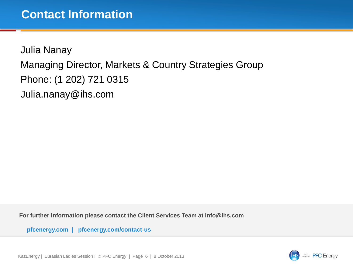Julia Nanay Managing Director, Markets & Country Strategies Group Phone: (1 202) 721 0315 Julia.nanay@ihs.com

**For further information please contact the Client Services Team at info@ihs.com**

**pfcenergy.com | pfcenergy.com/contact-us**

KazEnergy | Eurasian Ladies Session I © PFC Energy | Page 6 | 8 October 2013